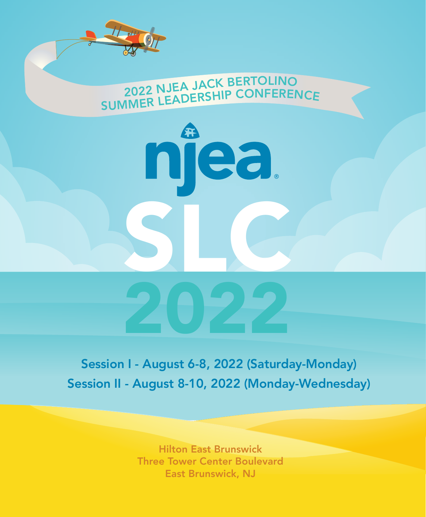

Session I - August 6-8, 2022 (Saturday-Monday) Session II - August 8-10, 2022 (Monday-Wednesday)

> Hilton East Brunswick Three Tower Center Boulevard East Brunswick, NJ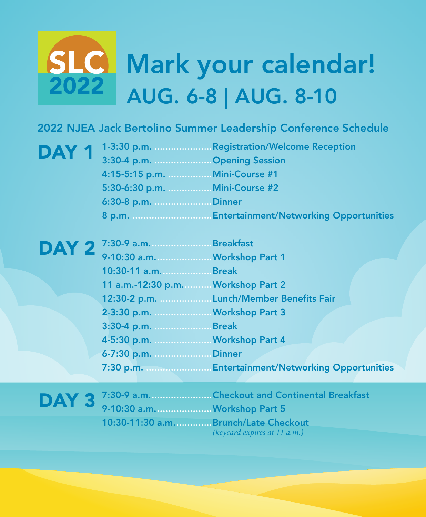# AUG. 6-8 | AUG. 8-10 SLC Mark your calendar!

### 2022 NJEA Jack Bertolino Summer Leadership Conference Schedule

|                                | $\mathbf{DAY}$ 1 $^{1-3:30}$ p.m.  Registration/Welcome Reception<br>Opening Session |
|--------------------------------|--------------------------------------------------------------------------------------|
| 4:15-5:15 p.m.  Mini-Course #1 |                                                                                      |
| 5:30-6:30 p.m.  Mini-Course #2 |                                                                                      |
| 6:30-8 p.m. Dinner             |                                                                                      |
|                                |                                                                                      |

| DAY 2 7:30-9 a.m. Breakfast         |                                                   |
|-------------------------------------|---------------------------------------------------|
| 9-10:30 a.m.  Workshop Part 1       |                                                   |
| 10:30-11 a.m.  Break                |                                                   |
| 11 a.m.-12:30 p.m.  Workshop Part 2 |                                                   |
|                                     | 12:30-2 p.m.  Lunch/Member Benefits Fair          |
| 2-3:30 p.m.  Workshop Part 3        |                                                   |
| 3:30-4 p.m. Break                   |                                                   |
| 4-5:30 p.m.  Workshop Part 4        |                                                   |
| 6-7:30 p.m. Dinner                  |                                                   |
|                                     | 7:30 p.m.  Entertainment/Networking Opportunities |

DAY 3<sup>7:30-9</sup> a.m.........................Checkout and Continental Breakfast<br>Workshop Part 5 9-10:30 a.m. ....................Workshop Part 5 10:30-11:30 a.m. ............. Brunch/Late Checkout (keycard expires at 11 a.m.)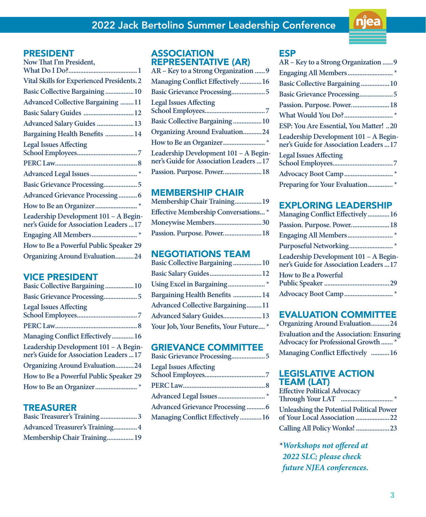

#### PRESIDENT

#### VICE PRESIDENT

| Basic Collective Bargaining 10                                                   |
|----------------------------------------------------------------------------------|
|                                                                                  |
| <b>Legal Issues Affecting</b>                                                    |
|                                                                                  |
| Managing Conflict Effectively16                                                  |
| Leadership Development 101 - A Begin-<br>ner's Guide for Association Leaders  17 |
| Organizing Around Evaluation24                                                   |
| How to Be a Powerful Public Speaker 29                                           |
|                                                                                  |
|                                                                                  |

#### TREASURER

| <b>Advanced Treasurer's Training 4</b> |  |
|----------------------------------------|--|
| Membership Chair Training 19           |  |

#### ASSOCIATION REPRESENTATIVE (AR)

| AR - Key to a Strong Organization  9                                             |
|----------------------------------------------------------------------------------|
| Managing Conflict Effectively16                                                  |
| Basic Grievance Processing5                                                      |
| <b>Legal Issues Affecting</b>                                                    |
| <b>Basic Collective Bargaining 10</b>                                            |
| <b>Organizing Around Evaluation24</b>                                            |
|                                                                                  |
| Leadership Development 101 - A Begin-<br>ner's Guide for Association Leaders  17 |
| Passion. Purpose. Power 18                                                       |
|                                                                                  |

#### MEMBERSHIP CHAIR

| Membership Chair Training19                |  |
|--------------------------------------------|--|
| <b>Effective Membership Conversations*</b> |  |
| Moneywise Members30                        |  |
| Passion. Purpose. Power18                  |  |

#### NEGOTIATIONS TEAM

| Basic Collective Bargaining 10          |  |
|-----------------------------------------|--|
| Basic Salary Guides12                   |  |
|                                         |  |
| <b>Bargaining Health Benefits 14</b>    |  |
| <b>Advanced Collective Bargaining11</b> |  |
| Advanced Salary Guides13                |  |
| Your Job, Your Benefits, Your Future *  |  |

#### GRIEVANCE COMMITTEE

| <b>Legal Issues Affecting</b><br><b>Advanced Grievance Processing 6</b><br>Managing Conflict Effectively16 | Basic Grievance Processing5 |  |
|------------------------------------------------------------------------------------------------------------|-----------------------------|--|
|                                                                                                            |                             |  |
|                                                                                                            |                             |  |
|                                                                                                            |                             |  |
|                                                                                                            |                             |  |
|                                                                                                            |                             |  |

#### ESP

| AR - Key to a Strong Organization  9                                             |  |
|----------------------------------------------------------------------------------|--|
|                                                                                  |  |
| <b>Basic Collective Bargaining  10</b>                                           |  |
| Basic Grievance Processing5                                                      |  |
| Passion. Purpose. Power 18                                                       |  |
|                                                                                  |  |
| ESP: You Are Essential, You Matter! 20                                           |  |
| Leadership Development 101 - A Begin-<br>ner's Guide for Association Leaders  17 |  |
| <b>Legal Issues Affecting</b>                                                    |  |
|                                                                                  |  |
| Preparing for Your Evaluation*                                                   |  |

#### EXPLORING LEADERSHIP

| Managing Conflict Effectively16                                                  |
|----------------------------------------------------------------------------------|
| Passion. Purpose. Power 18                                                       |
|                                                                                  |
| Purposeful Networking*                                                           |
| Leadership Development 101 - A Begin-<br>ner's Guide for Association Leaders  17 |
| <b>How to Be a Powerful</b>                                                      |
|                                                                                  |
|                                                                                  |

#### EVALUATION COMMITTEE

| <b>Organizing Around Evaluation24</b>           |
|-------------------------------------------------|
| <b>Evaluation and the Association: Ensuring</b> |
| Advocacy for Professional Growth *              |
| Managing Conflict Effectively 16                |

#### LEGISLATIVE ACTION TEAM (LAT)

| <b>Effective Political Advocacy</b>             |  |
|-------------------------------------------------|--|
|                                                 |  |
| <b>Unleashing the Potential Political Power</b> |  |
| of Your Local Association 22                    |  |
| Calling All Policy Wonks! 23                    |  |

**\* Workshops not offered at 2022 SLC; please check future NJEA conferences.**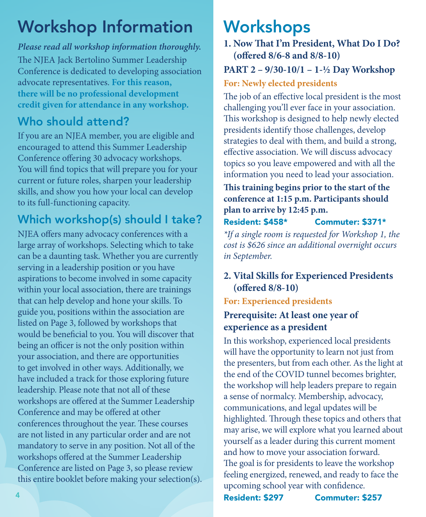## Workshop Information

#### **Please read all workshop information thoroughly.**

The NJEA Jack Bertolino Summer Leadership Conference is dedicated to developing association advocate representatives. **For this reason, there will be no professional development credit given for attendance in any workshop.**

### Who should attend?

If you are an NJEA member, you are eligible and encouraged to attend this Summer Leadership Conference offering 30 advocacy workshops. You will find topics that will prepare you for your current or future roles, sharpen your leadership skills, and show you how your local can develop to its full-functioning capacity.

### Which workshop(s) should I take?

NJEA offers many advocacy conferences with a large array of workshops. Selecting which to take can be a daunting task. Whether you are currently serving in a leadership position or you have aspirations to become involved in some capacity within your local association, there are trainings that can help develop and hone your skills. To guide you, positions within the association are listed on Page 3, followed by workshops that would be beneficial to you. You will discover that being an officer is not the only position within your association, and there are opportunities to get involved in other ways. Additionally, we have included a track for those exploring future leadership. Please note that not all of these workshops are offered at the Summer Leadership Conference and may be offered at other conferences throughout the year. These courses are not listed in any particular order and are not mandatory to serve in any position. Not all of the workshops offered at the Summer Leadership Conference are listed on Page 3, so please review this entire booklet before making your selection(s).

### **Workshops**

#### **1. Now That I'm President, What Do I Do? (offered 8/6-8 and 8/8-10)**

### **PART 2 – 9/30-10/1 – 1-½ Day Workshop**

#### **For: Newly elected presidents**

The job of an effective local president is the most challenging you'll ever face in your association. This workshop is designed to help newly elected presidents identify those challenges, develop strategies to deal with them, and build a strong, effective association. We will discuss advocacy topics so you leave empowered and with all the information you need to lead your association.

**This training begins prior to the start of the conference at 1:15 p.m. Participants should plan to arrive by 12:45 p.m.** 

#### Resident: \$458\* Commuter: \$371\*

\*If a single room is requested for Workshop 1, the cost is \$626 since an additional overnight occurs in September.

#### **2. Vital Skills for Experienced Presidents (offered 8/8-10)**

#### **For: Experienced presidents**

### **Prerequisite: At least one year of experience as a president**

In this workshop, experienced local presidents will have the opportunity to learn not just from the presenters, but from each other. As the light at the end of the COVID tunnel becomes brighter, the workshop will help leaders prepare to regain a sense of normalcy. Membership, advocacy, communications, and legal updates will be highlighted. Through these topics and others that may arise, we will explore what you learned about yourself as a leader during this current moment and how to move your association forward. The goal is for presidents to leave the workshop feeling energized, renewed, and ready to face the upcoming school year with confidence.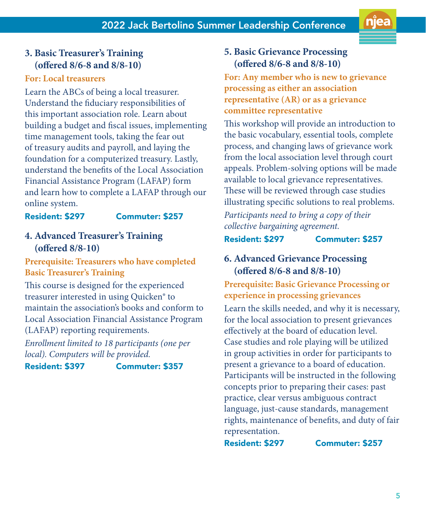#### **3. Basic Treasurer's Training (offered 8/6-8 and 8/8-10)**

#### **For: Local treasurers**

Learn the ABCs of being a local treasurer. Understand the fiduciary responsibilities of this important association role. Learn about building a budget and fiscal issues, implementing time management tools, taking the fear out of treasury audits and payroll, and laying the foundation for a computerized treasury. Lastly, understand the benefits of the Local Association Financial Assistance Program (LAFAP) form and learn how to complete a LAFAP through our online system.

#### Resident: \$297 Commuter: \$257

#### **4. Advanced Treasurer's Training (offered 8/8-10)**

**Prerequisite: Treasurers who have completed Basic Treasurer's Training**

This course is designed for the experienced treasurer interested in using Quicken® to maintain the association's books and conform to Local Association Financial Assistance Program (LAFAP) reporting requirements.

Enrollment limited to 18 participants (one per local). Computers will be provided.

Resident: \$397 Commuter: \$357

#### **5. Basic Grievance Processing (offered 8/6-8 and 8/8-10)**

**For: Any member who is new to grievance processing as either an association representative (AR) or as a grievance committee representative**

This workshop will provide an introduction to the basic vocabulary, essential tools, complete process, and changing laws of grievance work from the local association level through court appeals. Problem-solving options will be made available to local grievance representatives. These will be reviewed through case studies illustrating specific solutions to real problems.

Participants need to bring a copy of their collective bargaining agreement.

Resident: \$297 Commuter: \$257

#### **6. Advanced Grievance Processing (offered 8/6-8 and 8/8-10)**

**Prerequisite: Basic Grievance Processing or experience in processing grievances**

Learn the skills needed, and why it is necessary, for the local association to present grievances effectively at the board of education level. Case studies and role playing will be utilized in group activities in order for participants to present a grievance to a board of education. Participants will be instructed in the following concepts prior to preparing their cases: past practice, clear versus ambiguous contract language, just-cause standards, management rights, maintenance of benefits, and duty of fair representation.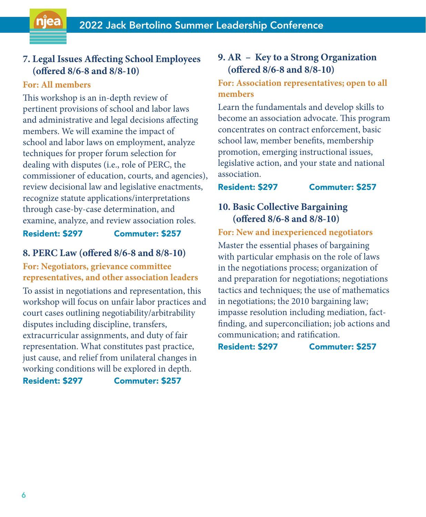#### **7. Legal Issues Affecting School Employees (offered 8/6-8 and 8/8-10)**

#### **For: All members**

njea

This workshop is an in-depth review of pertinent provisions of school and labor laws and administrative and legal decisions affecting members. We will examine the impact of school and labor laws on employment, analyze techniques for proper forum selection for dealing with disputes (i.e., role of PERC, the commissioner of education, courts, and agencies), review decisional law and legislative enactments, recognize statute applications/interpretations through case-by-case determination, and examine, analyze, and review association roles.

#### Resident: \$297 Commuter: \$257

#### **8. PERC Law (offered 8/6-8 and 8/8-10)**

**For: Negotiators, grievance committee representatives, and other association leaders**

To assist in negotiations and representation, this workshop will focus on unfair labor practices and court cases outlining negotiability/arbitrability disputes including discipline, transfers, extracurricular assignments, and duty of fair representation. What constitutes past practice, just cause, and relief from unilateral changes in working conditions will be explored in depth.

Resident: \$297 Commuter: \$257

#### **9. AR – Key to a Strong Organization (offered 8/6-8 and 8/8-10)**

#### **For: Association representatives; open to all members**

Learn the fundamentals and develop skills to become an association advocate. This program concentrates on contract enforcement, basic school law, member benefits, membership promotion, emerging instructional issues, legislative action, and your state and national association.

#### Resident: \$297 Commuter: \$257

#### **10. Basic Collective Bargaining (offered 8/6-8 and 8/8-10)**

#### **For: New and inexperienced negotiators**

Master the essential phases of bargaining with particular emphasis on the role of laws in the negotiations process; organization of and preparation for negotiations; negotiations tactics and techniques; the use of mathematics in negotiations; the 2010 bargaining law; impasse resolution including mediation, factfinding, and superconciliation; job actions and communication; and ratification.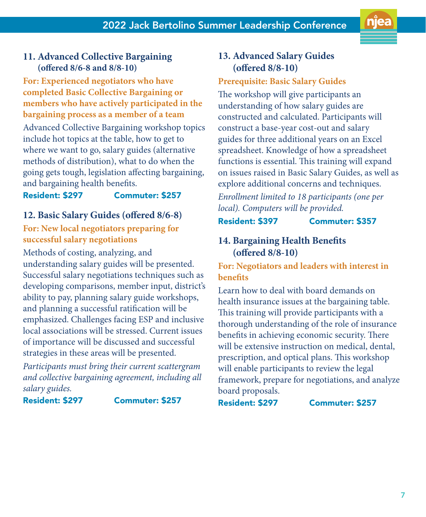#### **11. Advanced Collective Bargaining (offered 8/6-8 and 8/8-10)**

#### **For: Experienced negotiators who have completed Basic Collective Bargaining or members who have actively participated in the bargaining process as a member of a team**

Advanced Collective Bargaining workshop topics include hot topics at the table, how to get to where we want to go, salary guides (alternative methods of distribution), what to do when the going gets tough, legislation affecting bargaining, and bargaining health benefits.

#### Resident: \$297 Commuter: \$257

#### **12. Basic Salary Guides (offered 8/6-8)**

#### **For: New local negotiators preparing for successful salary negotiations**

Methods of costing, analyzing, and understanding salary guides will be presented. Successful salary negotiations techniques such as developing comparisons, member input, district's ability to pay, planning salary guide workshops, and planning a successful ratification will be emphasized. Challenges facing ESP and inclusive local associations will be stressed. Current issues of importance will be discussed and successful strategies in these areas will be presented.

Participants must bring their current scattergram and collective bargaining agreement, including all salary guides.

Resident: \$297 Commuter: \$257

#### **13. Advanced Salary Guides (offered 8/8-10)**

#### **Prerequisite: Basic Salary Guides**

The workshop will give participants an understanding of how salary guides are constructed and calculated. Participants will construct a base-year cost-out and salary guides for three additional years on an Excel spreadsheet. Knowledge of how a spreadsheet functions is essential. This training will expand on issues raised in Basic Salary Guides, as well as explore additional concerns and techniques.

Enrollment limited to 18 participants (one per local). Computers will be provided.

#### Resident: \$397 Commuter: \$357

#### **14. Bargaining Health Benefits (offered 8/8-10)**

**For: Negotiators and leaders with interest in benefits**

Learn how to deal with board demands on health insurance issues at the bargaining table. This training will provide participants with a thorough understanding of the role of insurance benefits in achieving economic security. There will be extensive instruction on medical, dental, prescription, and optical plans. This workshop will enable participants to review the legal framework, prepare for negotiations, and analyze board proposals.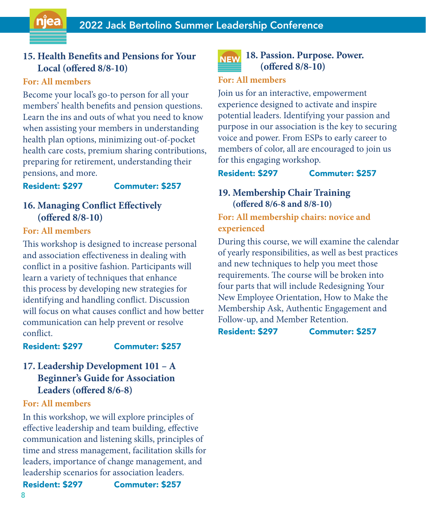#### **15. Health Benefits and Pensions for Your Local (offered 8/8-10)**

#### **For: All members**

njea

Become your local's go-to person for all your members' health benefits and pension questions. Learn the ins and outs of what you need to know when assisting your members in understanding health plan options, minimizing out-of-pocket health care costs, premium sharing contributions, preparing for retirement, understanding their pensions, and more.

#### Resident: \$297 Commuter: \$257

#### **16. Managing Conflict Effectively (offered 8/8-10)**

#### **For: All members**

This workshop is designed to increase personal and association effectiveness in dealing with conflict in a positive fashion. Participants will learn a variety of techniques that enhance this process by developing new strategies for identifying and handling conflict. Discussion will focus on what causes conflict and how better communication can help prevent or resolve conflict.

Resident: \$297 Commuter: \$257

#### **17. Leadership Development 101 – A Beginner's Guide for Association Leaders (offered 8/6-8)**

#### **For: All members**

In this workshop, we will explore principles of effective leadership and team building, effective communication and listening skills, principles of time and stress management, facilitation skills for leaders, importance of change management, and leadership scenarios for association leaders. Resident: \$297 Commuter: \$257

#### **18. Passion. Purpose. Power. (offered 8/8-10)**

#### **For: All members**

Join us for an interactive, empowerment experience designed to activate and inspire potential leaders. Identifying your passion and purpose in our association is the key to securing voice and power. From ESPs to early career to members of color, all are encouraged to join us for this engaging workshop.

#### Resident: \$297 Commuter: \$257

#### **19. Membership Chair Training (offered 8/6-8 and 8/8-10)**

**For: All membership chairs: novice and experienced**

During this course, we will examine the calendar of yearly responsibilities, as well as best practices and new techniques to help you meet those requirements. The course will be broken into four parts that will include Redesigning Your New Employee Orientation, How to Make the Membership Ask, Authentic Engagement and Follow-up, and Member Retention.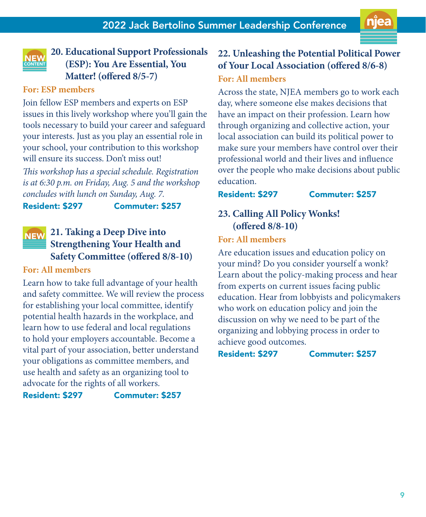

#### **20. Educational Support Professionals (ESP): You Are Essential, You Matter! (offered 8/5-7)**

#### **For: ESP members**

Join fellow ESP members and experts on ESP issues in this lively workshop where you'll gain the tools necessary to build your career and safeguard your interests. Just as you play an essential role in your school, your contribution to this workshop will ensure its success. Don't miss out!

This workshop has a special schedule. Registration is at 6:30 p.m. on Friday, Aug. 5 and the workshop concludes with lunch on Sunday, Aug. 7.

Resident: \$297 Commuter: \$257

#### **21. Taking a Deep Dive into NEW Strengthening Your Health and**

### **Safety Committee (offered 8/8-10)**

#### **For: All members**

Learn how to take full advantage of your health and safety committee. We will review the process for establishing your local committee, identify potential health hazards in the workplace, and learn how to use federal and local regulations to hold your employers accountable. Become a vital part of your association, better understand your obligations as committee members, and use health and safety as an organizing tool to advocate for the rights of all workers.

Resident: \$297 Commuter: \$257

#### **22. Unleashing the Potential Political Power of Your Local Association (offered 8/6-8) For: All members**

Across the state, NJEA members go to work each day, where someone else makes decisions that have an impact on their profession. Learn how through organizing and collective action, your local association can build its political power to make sure your members have control over their professional world and their lives and influence over the people who make decisions about public education.

#### Resident: \$297 Commuter: \$257

#### **23. Calling All Policy Wonks! (offered 8/8-10)**

#### **For: All members**

Are education issues and education policy on your mind? Do you consider yourself a wonk? Learn about the policy-making process and hear from experts on current issues facing public education. Hear from lobbyists and policymakers who work on education policy and join the discussion on why we need to be part of the organizing and lobbying process in order to achieve good outcomes.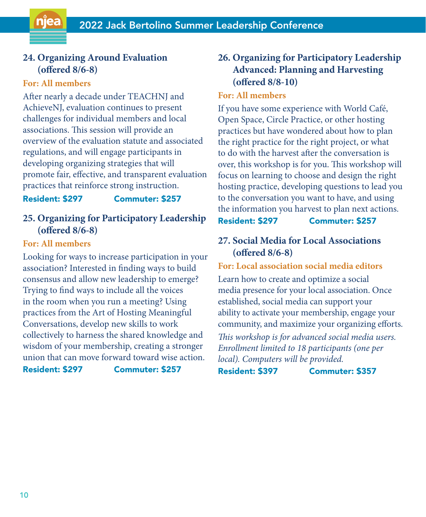#### **24. Organizing Around Evaluation (offered 8/6-8)**

#### **For: All members**

njea

After nearly a decade under TEACHNJ and AchieveNJ, evaluation continues to present challenges for individual members and local associations. This session will provide an overview of the evaluation statute and associated regulations, and will engage participants in developing organizing strategies that will promote fair, effective, and transparent evaluation practices that reinforce strong instruction.

Resident: \$297 Commuter: \$257

#### **25. Organizing for Participatory Leadership (offered 8/6-8)**

#### **For: All members**

Looking for ways to increase participation in your association? Interested in finding ways to build consensus and allow new leadership to emerge? Trying to find ways to include all the voices in the room when you run a meeting? Using practices from the Art of Hosting Meaningful Conversations, develop new skills to work collectively to harness the shared knowledge and wisdom of your membership, creating a stronger union that can move forward toward wise action.

Resident: \$297 Commuter: \$257

### **26. Organizing for Participatory Leadership Advanced: Planning and Harvesting (offered 8/8-10)**

#### **For: All members**

If you have some experience with World Café, Open Space, Circle Practice, or other hosting practices but have wondered about how to plan the right practice for the right project, or what to do with the harvest after the conversation is over, this workshop is for you. This workshop will focus on learning to choose and design the right hosting practice, developing questions to lead you to the conversation you want to have, and using the information you harvest to plan next actions. Resident: \$297 Commuter: \$257

## **27. Social Media for Local Associations**

**(offered 8/6-8)**

**For: Local association social media editors**  Learn how to create and optimize a social media presence for your local association. Once established, social media can support your ability to activate your membership, engage your community, and maximize your organizing efforts. This workshop is for advanced social media users. Enrollment limited to 18 participants (one per local). Computers will be provided.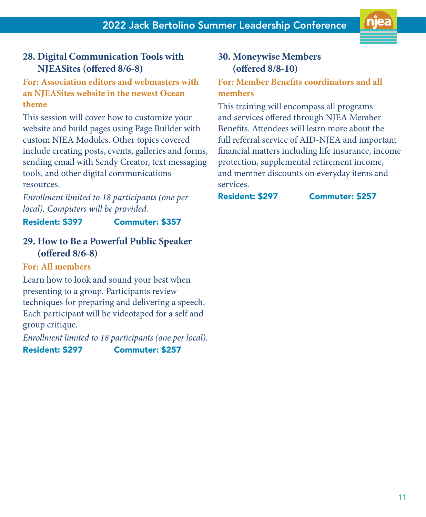#### **28. Digital Communication Tools with NJEASites (offered 8/6-8)**

#### **For: Association editors and webmasters with an NJEASites website in the newest Ocean theme**

This session will cover how to customize your website and build pages using Page Builder with custom NJEA Modules. Other topics covered include creating posts, events, galleries and forms, sending email with Sendy Creator, text messaging tools, and other digital communications resources.

Enrollment limited to 18 participants (one per local). Computers will be provided.

#### Resident: \$397 Commuter: \$357

#### **29. How to Be a Powerful Public Speaker (offered 8/6-8)**

#### **For: All members**

Learn how to look and sound your best when presenting to a group. Participants review techniques for preparing and delivering a speech. Each participant will be videotaped for a self and group critique.

Enrollment limited to 18 participants (one per local). Resident: \$297 Commuter: \$257

#### **30. Moneywise Members (offered 8/8-10)**

#### **For: Member Benefits coordinators and all members**

This training will encompass all programs and services offered through NJEA Member Benefits. Attendees will learn more about the full referral service of AID-NJEA and important financial matters including life insurance, income protection, supplemental retirement income, and member discounts on everyday items and services.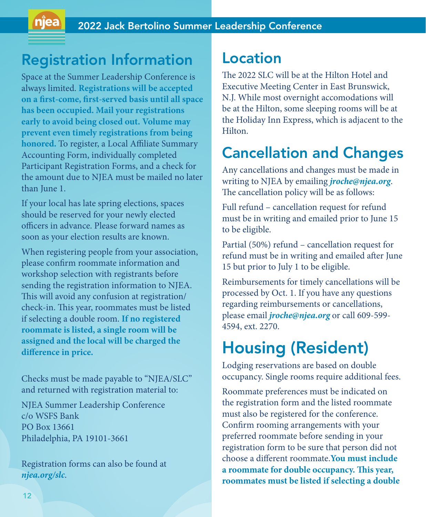### Registration Information

Space at the Summer Leadership Conference is always limited. **Registrations will be accepted on a first-come, first-served basis until all space has been occupied. Mail your registrations early to avoid being closed out. Volume may prevent even timely registrations from being honored.** To register, a Local Affiliate Summary Accounting Form, individually completed Participant Registration Forms, and a check for the amount due to NJEA must be mailed no later than June 1.

If your local has late spring elections, spaces should be reserved for your newly elected officers in advance. Please forward names as soon as your election results are known.

When registering people from your association, please confirm roommate information and workshop selection with registrants before sending the registration information to NJEA. This will avoid any confusion at registration/ check-in. This year, roommates must be listed if selecting a double room. **If no registered roommate is listed, a single room will be assigned and the local will be charged the difference in price.**

Checks must be made payable to "NJEA/SLC" and returned with registration material to:

NJEA Summer Leadership Conference c/o WSFS Bank PO Box 13661 Philadelphia, PA 19101-3661

Registration forms can also be found at **njea.org/slc**.

### Location

The 2022 SLC will be at the Hilton Hotel and Executive Meeting Center in East Brunswick, N.J. While most overnight accomodations will be at the Hilton, some sleeping rooms will be at the Holiday Inn Express, which is adjacent to the **Hilton** 

### Cancellation and Changes

Any cancellations and changes must be made in writing to NJEA by emailing **jroche@njea.org**. The cancellation policy will be as follows:

Full refund – cancellation request for refund must be in writing and emailed prior to June 15 to be eligible.

Partial (50%) refund – cancellation request for refund must be in writing and emailed after June 15 but prior to July 1 to be eligible.

Reimbursements for timely cancellations will be processed by Oct. 1. If you have any questions regarding reimbursements or cancellations, please email **jroche@njea.org** or call 609-599- 4594, ext. 2270.

### Housing (Resident)

Lodging reservations are based on double occupancy. Single rooms require additional fees.

Roommate preferences must be indicated on the registration form and the listed roommate must also be registered for the conference. Confirm rooming arrangements with your preferred roommate before sending in your registration form to be sure that person did not choose a different roommate.**You must include a roommate for double occupancy. This year, roommates must be listed if selecting a double**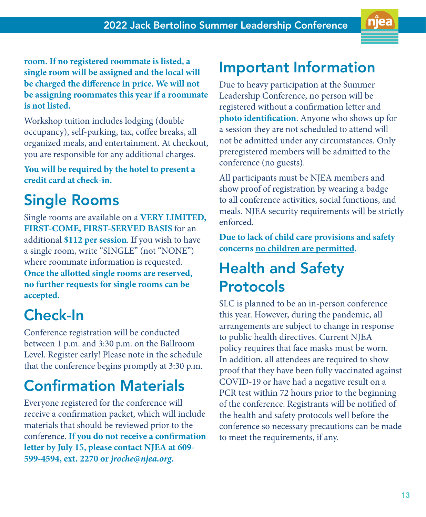**room. If no registered roommate is listed, a single room will be assigned and the local will be charged the difference in price. We will not be assigning roommates this year if a roommate is not listed.** 

Workshop tuition includes lodging (double occupancy), self-parking, tax, coffee breaks, all organized meals, and entertainment. At checkout, you are responsible for any additional charges.

**You will be required by the hotel to present a credit card at check-in.**

## Single Rooms

Single rooms are available on a **VERY LIMITED, FIRST-COME, FIRST-SERVED BASIS** for an additional **\$112 per session**. If you wish to have a single room, write "SINGLE" (not "NONE") where roommate information is requested. **Once the allotted single rooms are reserved, no further requests for single rooms can be accepted.**

## Check-In

Conference registration will be conducted between 1 p.m. and 3:30 p.m. on the Ballroom Level. Register early! Please note in the schedule that the conference begins promptly at 3:30 p.m.

### Confirmation Materials

Everyone registered for the conference will receive a confirmation packet, which will include materials that should be reviewed prior to the conference. **If you do not receive a confirmation letter by July 15, please contact NJEA at 609- 599-4594, ext. 2270 or jroche@njea.org.**

### Important Information

Due to heavy participation at the Summer Leadership Conference, no person will be registered without a confirmation letter and **photo identification**. Anyone who shows up for a session they are not scheduled to attend will not be admitted under any circumstances. Only preregistered members will be admitted to the conference (no guests).

All participants must be NJEA members and show proof of registration by wearing a badge to all conference activities, social functions, and meals. NJEA security requirements will be strictly enforced.

**Due to lack of child care provisions and safety concerns no children are permitted.**

### Health and Safety Protocols

SLC is planned to be an in-person conference this year. However, during the pandemic, all arrangements are subject to change in response to public health directives. Current NJEA policy requires that face masks must be worn. In addition, all attendees are required to show proof that they have been fully vaccinated against COVID-19 or have had a negative result on a PCR test within 72 hours prior to the beginning of the conference. Registrants will be notified of the health and safety protocols well before the conference so necessary precautions can be made to meet the requirements, if any.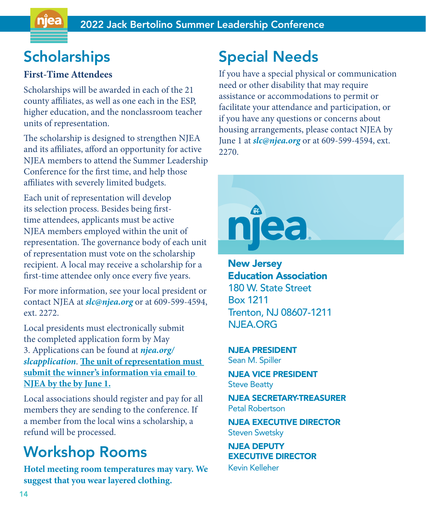### **Scholarships**

#### **First-Time Attendees**

Scholarships will be awarded in each of the 21 county affiliates, as well as one each in the ESP, higher education, and the nonclassroom teacher units of representation.

The scholarship is designed to strengthen NJEA and its affiliates, afford an opportunity for active NJEA members to attend the Summer Leadership Conference for the first time, and help those affiliates with severely limited budgets.

Each unit of representation will develop its selection process. Besides being firsttime attendees, applicants must be active NJEA members employed within the unit of representation. The governance body of each unit of representation must vote on the scholarship recipient. A local may receive a scholarship for a first-time attendee only once every five years.

For more information, see your local president or contact NJEA at **slc@njea.org** or at 609-599-4594, ext. 2272.

Local presidents must electronically submit the completed application form by May 3. Applications can be found at **njea.org/ slcapplication**. **The unit of representation must submit the winner's information via email to NJEA by the by June 1.**

Local associations should register and pay for all members they are sending to the conference. If a member from the local wins a scholarship, a refund will be processed.

### Workshop Rooms

**Hotel meeting room temperatures may vary. We suggest that you wear layered clothing.**

### Special Needs

If you have a special physical or communication need or other disability that may require assistance or accommodations to permit or facilitate your attendance and participation, or if you have any questions or concerns about housing arrangements, please contact NJEA by June 1 at **slc@njea.org** or at 609-599-4594, ext. 2270.



New Jersey Education Association 180 W. State Street Box 1211 Trenton, NJ 08607-1211 NJEA.ORG

NJEA PRESIDENT Sean M. Spiller

NJEA VICE PRESIDENT Steve Beatty

NJEA SECRETARY-TREASURER Petal Robertson

NJEA EXECUTIVE DIRECTOR Steven Swetsky

NJEA DEPUTY EXECUTIVE DIRECTOR Kevin Kelleher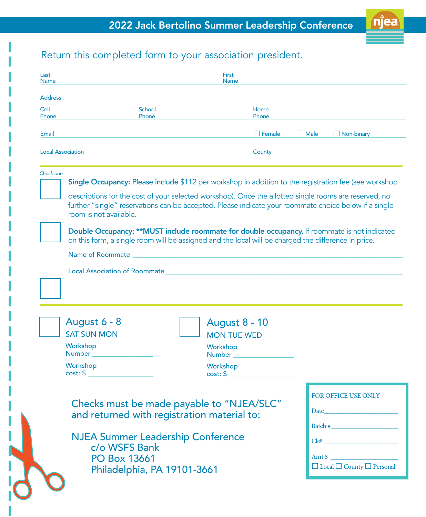

### Return this completed form to your association president.

| <b>Address</b>           |                                                                                                                                                                                                                                |                      |             |                                                                                                                                                                                                                                                                            |
|--------------------------|--------------------------------------------------------------------------------------------------------------------------------------------------------------------------------------------------------------------------------|----------------------|-------------|----------------------------------------------------------------------------------------------------------------------------------------------------------------------------------------------------------------------------------------------------------------------------|
| Cell                     | School                                                                                                                                                                                                                         | Home                 |             |                                                                                                                                                                                                                                                                            |
| Phone                    | Phone                                                                                                                                                                                                                          | Phone                |             |                                                                                                                                                                                                                                                                            |
| Email                    |                                                                                                                                                                                                                                | $\Box$ Female        | $\Box$ Male | $\Box$ Non-binary                                                                                                                                                                                                                                                          |
| <b>Local Association</b> |                                                                                                                                                                                                                                | County               |             |                                                                                                                                                                                                                                                                            |
| Check one                |                                                                                                                                                                                                                                |                      |             |                                                                                                                                                                                                                                                                            |
|                          | Single Occupancy: Please include \$112 per workshop in addition to the registration fee (see workshop                                                                                                                          |                      |             |                                                                                                                                                                                                                                                                            |
|                          | descriptions for the cost of your selected workshop). Once the allotted single rooms are reserved, no                                                                                                                          |                      |             |                                                                                                                                                                                                                                                                            |
|                          | further "single" reservations can be accepted. Please indicate your roommate choice below if a single                                                                                                                          |                      |             |                                                                                                                                                                                                                                                                            |
|                          | room is not available.                                                                                                                                                                                                         |                      |             |                                                                                                                                                                                                                                                                            |
|                          | Double Occupancy: **MUST include roommate for double occupancy. If roommate is not indicated                                                                                                                                   |                      |             |                                                                                                                                                                                                                                                                            |
|                          | on this form, a single room will be assigned and the local will be charged the difference in price.                                                                                                                            |                      |             |                                                                                                                                                                                                                                                                            |
|                          | Name of Roommate and the state of the state of the state of the state of the state of the state of the state of the state of the state of the state of the state of the state of the state of the state of the state of the st |                      |             |                                                                                                                                                                                                                                                                            |
|                          |                                                                                                                                                                                                                                |                      |             |                                                                                                                                                                                                                                                                            |
|                          | Local Association of Roommate                                                                                                                                                                                                  |                      |             |                                                                                                                                                                                                                                                                            |
|                          |                                                                                                                                                                                                                                |                      |             |                                                                                                                                                                                                                                                                            |
|                          |                                                                                                                                                                                                                                |                      |             |                                                                                                                                                                                                                                                                            |
|                          |                                                                                                                                                                                                                                |                      |             |                                                                                                                                                                                                                                                                            |
|                          |                                                                                                                                                                                                                                |                      |             |                                                                                                                                                                                                                                                                            |
|                          |                                                                                                                                                                                                                                |                      |             |                                                                                                                                                                                                                                                                            |
| August 6 - 8             |                                                                                                                                                                                                                                | <b>August 8 - 10</b> |             |                                                                                                                                                                                                                                                                            |
| <b>SAT SUN MON</b>       |                                                                                                                                                                                                                                | <b>MON TUE WED</b>   |             |                                                                                                                                                                                                                                                                            |
| Workshop<br>Number       |                                                                                                                                                                                                                                | Workshop<br>Number   |             |                                                                                                                                                                                                                                                                            |
| Workshop                 |                                                                                                                                                                                                                                | Workshop             |             |                                                                                                                                                                                                                                                                            |
|                          | $cost: $ \_$                                                                                                                                                                                                                   | $cost: $ \_ \_ \_$   |             |                                                                                                                                                                                                                                                                            |
|                          |                                                                                                                                                                                                                                |                      |             |                                                                                                                                                                                                                                                                            |
|                          |                                                                                                                                                                                                                                |                      |             |                                                                                                                                                                                                                                                                            |
|                          | Checks must be made payable to "NJEA/SLC"                                                                                                                                                                                      |                      |             |                                                                                                                                                                                                                                                                            |
|                          | and returned with registration material to:                                                                                                                                                                                    |                      |             |                                                                                                                                                                                                                                                                            |
|                          |                                                                                                                                                                                                                                |                      |             |                                                                                                                                                                                                                                                                            |
|                          | <b>NJEA Summer Leadership Conference</b>                                                                                                                                                                                       |                      |             |                                                                                                                                                                                                                                                                            |
|                          | c/o WSFS Bank                                                                                                                                                                                                                  |                      |             | FOR OFFICE USE ONLY<br>Date and the state of the state of the state of the state of the state of the state of the state of the state of the state of the state of the state of the state of the state of the state of the state of the state of the s<br>Batch #<br>Amt \$ |
|                          | <b>PO Box 13661</b><br>Philadelphia, PA 19101-3661                                                                                                                                                                             |                      |             | $\Box$ Local $\Box$ County $\Box$ Personal                                                                                                                                                                                                                                 |